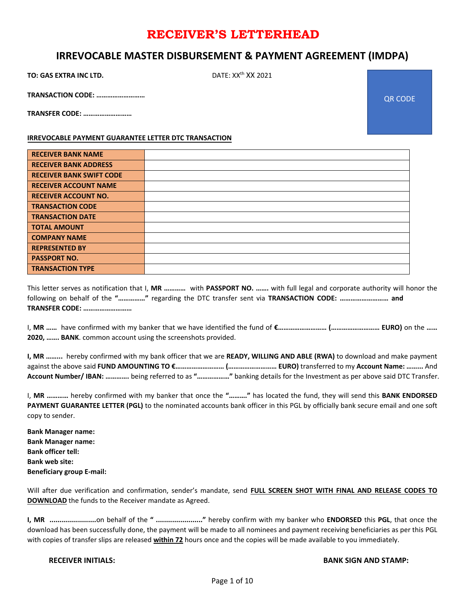#### **IRREVOCABLE MASTER DISBURSEMENT & PAYMENT AGREEMENT (IMDPA)**

**TO: GAS EXTRA INC LTD.** DATE: XX<sup>th</sup> XX 2021

**TRANSACTION CODE: ………………………**

**TRANSFER CODE: ………………………**

**IRREVOCABLE PAYMENT GUARANTEE LETTER DTC TRANSACTION**

| <b>RECEIVER BANK NAME</b>       |  |
|---------------------------------|--|
| <b>RECEIVER BANK ADDRESS</b>    |  |
| <b>RECEIVER BANK SWIFT CODE</b> |  |
| <b>RECEIVER ACCOUNT NAME</b>    |  |
| <b>RECEIVER ACCOUNT NO.</b>     |  |
| <b>TRANSACTION CODE</b>         |  |
| <b>TRANSACTION DATE</b>         |  |
| <b>TOTAL AMOUNT</b>             |  |
| <b>COMPANY NAME</b>             |  |
| <b>REPRESENTED BY</b>           |  |
| <b>PASSPORT NO.</b>             |  |
| <b>TRANSACTION TYPE</b>         |  |

This letter serves as notification that I, **MR …………** with **PASSPORT NO. …….** with full legal and corporate authority will honor the following on behalf of the **"……………"** regarding the DTC transfer sent via **TRANSACTION CODE: ……………………… and TRANSFER CODE: ………………………**

I, **MR ……** have confirmed with my banker that we have identified the fund of **€……………………… (……………………… EURO)** on the **…… 2020, ……. BANK**. common account using the screenshots provided.

**I, MR ……...** hereby confirmed with my bank officer that we are **READY, WILLING AND ABLE (RWA)** to download and make payment against the above said **FUND AMOUNTING TO €……………………… (……………………… EURO)** transferred to my **Account Name: ……...** And **Account Number/ IBAN: ………….** being referred to as **"………………"** banking details for the Investment as per above said DTC Transfer.

I, **MR …………** hereby confirmed with my banker that once the **"………."** has located the fund, they will send this **BANK ENDORSED PAYMENT GUARANTEE LETTER (PGL)** to the nominated accounts bank officer in this PGL by officially bank secure email and one soft copy to sender.

**Bank Manager name: Bank Manager name: Bank officer tell: Bank web site: Beneficiary group E-mail:** 

Will after due verification and confirmation, sender's mandate, send **FULL SCREEN SHOT WITH FINAL AND RELEASE CODES TO DOWNLOAD** the funds to the Receiver mandate as Agreed.

**I, MR .......................**on behalf of the **" ......................."** hereby confirm with my banker who **ENDORSED** this **PGL**, that once the download has been successfully done, the payment will be made to all nominees and payment receiving beneficiaries as per this PGL with copies of transfer slips are released **within 72** hours once and the copies will be made available to you immediately.

#### **RECEIVER INITIALS: BANK SIGN AND STAMP:**

QR CODE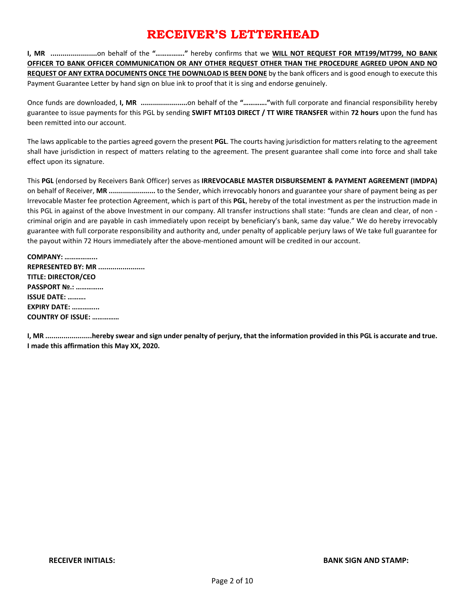**I, MR .......................**on behalf of the **"……………."** hereby confirms that we **WILL NOT REQUEST FOR MT199/MT799, NO BANK OFFICER TO BANK OFFICER COMMUNICATION OR ANY OTHER REQUEST OTHER THAN THE PROCEDURE AGREED UPON AND NO REQUEST OF ANY EXTRA DOCUMENTS ONCE THE DOWNLOAD IS BEEN DONE** by the bank officers and is good enough to execute this Payment Guarantee Letter by hand sign on blue ink to proof that it is sing and endorse genuinely.

Once funds are downloaded, I, MR ..........................on behalf of the ".............."with full corporate and financial responsibility hereby guarantee to issue payments for this PGL by sending **SWIFT MT103 DIRECT / TT WIRE TRANSFER** within **72 hours** upon the fund has been remitted into our account.

The laws applicable to the parties agreed govern the present **PGL**. The courts having jurisdiction for matters relating to the agreement shall have jurisdiction in respect of matters relating to the agreement. The present guarantee shall come into force and shall take effect upon its signature.

This **PGL** (endorsed by Receivers Bank Officer) serves as **IRREVOCABLE MASTER DISBURSEMENT & PAYMENT AGREEMENT (IMDPA)** on behalf of Receiver, **MR .......................** to the Sender, which irrevocably honors and guarantee your share of payment being as per Irrevocable Master fee protection Agreement, which is part of this **PGL**, hereby of the total investment as per the instruction made in this PGL in against of the above Investment in our company. All transfer instructions shall state: "funds are clean and clear, of non criminal origin and are payable in cash immediately upon receipt by beneficiary's bank, same day value." We do hereby irrevocably guarantee with full corporate responsibility and authority and, under penalty of applicable perjury laws of We take full guarantee for the payout within 72 Hours immediately after the above-mentioned amount will be credited in our account.

**COMPANY: ……………... REPRESENTED BY: MR ....................... TITLE: DIRECTOR/CEO PASSPORT №.: …………... ISSUE DATE: ………. EXPIRY DATE: …………... COUNTRY OF ISSUE: ……………**

**I, MR .......................hereby swear and sign under penalty of perjury, that the information provided in this PGL is accurate and true. I made this affirmation this May XX, 2020.**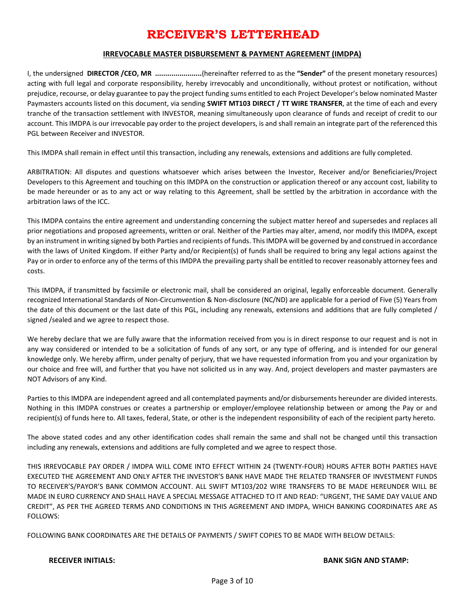#### **IRREVOCABLE MASTER DISBURSEMENT & PAYMENT AGREEMENT (IMDPA)**

I, the undersigned **DIRECTOR /CEO, MR .......................**(hereinafter referred to as the **"Sender"** of the present monetary resources) acting with full legal and corporate responsibility, hereby irrevocably and unconditionally, without protest or notification, without prejudice, recourse, or delay guarantee to pay the project funding sums entitled to each Project Developer's below nominated Master Paymasters accounts listed on this document, via sending **SWIFT MT103 DIRECT / TT WIRE TRANSFER**, at the time of each and every tranche of the transaction settlement with INVESTOR, meaning simultaneously upon clearance of funds and receipt of credit to our account. This IMDPA is our irrevocable pay order to the project developers, is and shall remain an integrate part of the referenced this PGL between Receiver and INVESTOR.

This IMDPA shall remain in effect until this transaction, including any renewals, extensions and additions are fully completed.

ARBITRATION: All disputes and questions whatsoever which arises between the Investor, Receiver and/or Beneficiaries/Project Developers to this Agreement and touching on this IMDPA on the construction or application thereof or any account cost, liability to be made hereunder or as to any act or way relating to this Agreement, shall be settled by the arbitration in accordance with the arbitration laws of the ICC.

This IMDPA contains the entire agreement and understanding concerning the subject matter hereof and supersedes and replaces all prior negotiations and proposed agreements, written or oral. Neither of the Parties may alter, amend, nor modify this IMDPA, except by an instrument in writing signed by both Parties and recipients of funds. This IMDPA will be governed by and construed in accordance with the laws of United Kingdom. If either Party and/or Recipient(s) of funds shall be required to bring any legal actions against the Pay or in order to enforce any of the terms of this IMDPA the prevailing party shall be entitled to recover reasonably attorney fees and costs.

This IMDPA, if transmitted by facsimile or electronic mail, shall be considered an original, legally enforceable document. Generally recognized International Standards of Non-Circumvention & Non-disclosure (NC/ND) are applicable for a period of Five (5) Years from the date of this document or the last date of this PGL, including any renewals, extensions and additions that are fully completed / signed /sealed and we agree to respect those.

We hereby declare that we are fully aware that the information received from you is in direct response to our request and is not in any way considered or intended to be a solicitation of funds of any sort, or any type of offering, and is intended for our general knowledge only. We hereby affirm, under penalty of perjury, that we have requested information from you and your organization by our choice and free will, and further that you have not solicited us in any way. And, project developers and master paymasters are NOT Advisors of any Kind.

Parties to this IMDPA are independent agreed and all contemplated payments and/or disbursements hereunder are divided interests. Nothing in this IMDPA construes or creates a partnership or employer/employee relationship between or among the Pay or and recipient(s) of funds here to. All taxes, federal, State, or other is the independent responsibility of each of the recipient party hereto.

The above stated codes and any other identification codes shall remain the same and shall not be changed until this transaction including any renewals, extensions and additions are fully completed and we agree to respect those.

THIS IRREVOCABLE PAY ORDER / IMDPA WILL COME INTO EFFECT WITHIN 24 (TWENTY-FOUR) HOURS AFTER BOTH PARTIES HAVE EXECUTED THE AGREEMENT AND ONLY AFTER THE INVESTOR'S BANK HAVE MADE THE RELATED TRANSFER OF INVESTMENT FUNDS TO RECEIVER'S/PAYOR'S BANK COMMON ACCOUNT. ALL SWIFT MT103/202 WIRE TRANSFERS TO BE MADE HEREUNDER WILL BE MADE IN EURO CURRENCY AND SHALL HAVE A SPECIAL MESSAGE ATTACHED TO IT AND READ: "URGENT, THE SAME DAY VALUE AND CREDIT", AS PER THE AGREED TERMS AND CONDITIONS IN THIS AGREEMENT AND IMDPA, WHICH BANKING COORDINATES ARE AS FOLLOWS:

FOLLOWING BANK COORDINATES ARE THE DETAILS OF PAYMENTS / SWIFT COPIES TO BE MADE WITH BELOW DETAILS:

#### **RECEIVER INITIALS: BANK SIGN AND STAMP:**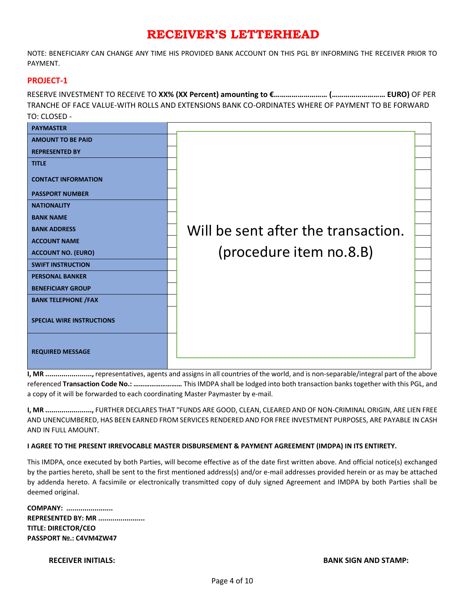NOTE: BENEFICIARY CAN CHANGE ANY TIME HIS PROVIDED BANK ACCOUNT ON THIS PGL BY INFORMING THE RECEIVER PRIOR TO PAYMENT.

#### **PROJECT-1**

RESERVE INVESTMENT TO RECEIVE TO **XX% (XX Percent) amounting to €……………………… (……………………… EURO)** OF PER TRANCHE OF FACE VALUE-WITH ROLLS AND EXTENSIONS BANK CO-ORDINATES WHERE OF PAYMENT TO BE FORWARD TO: CLOSED -



**I, MR .......................,** representatives, agents and assigns in all countries of the world, and is non-separable/integral part of the above referenced **Transaction Code No.: ………………………** This IMDPA shall be lodged into both transaction banks together with this PGL, and a copy of it will be forwarded to each coordinating Master Paymaster by e-mail.

**I, MR .......................,** FURTHER DECLARES THAT "FUNDS ARE GOOD, CLEAN, CLEARED AND OF NON-CRIMINAL ORIGIN, ARE LIEN FREE AND UNENCUMBERED, HAS BEEN EARNED FROM SERVICES RENDERED AND FOR FREE INVESTMENT PURPOSES, ARE PAYABLE IN CASH AND IN FULL AMOUNT.

#### **I AGREE TO THE PRESENT IRREVOCABLE MASTER DISBURSEMENT & PAYMENT AGREEMENT (IMDPA) IN ITS ENTIRETY.**

This IMDPA, once executed by both Parties, will become effective as of the date first written above. And official notice(s) exchanged by the parties hereto, shall be sent to the first mentioned address(s) and/or e-mail addresses provided herein or as may be attached by addenda hereto. A facsimile or electronically transmitted copy of duly signed Agreement and IMDPA by both Parties shall be deemed original.

**COMPANY: ....................... REPRESENTED BY: MR ....................... TITLE: DIRECTOR/CEO PASSPORT №.: C4VM4ZW47**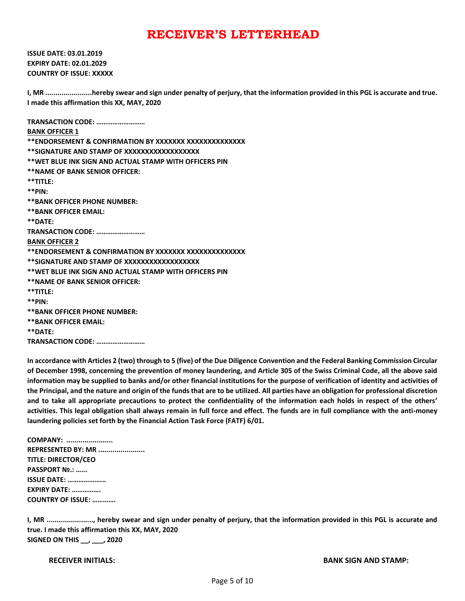**ISSUE DATE: 03.01.2019 EXPIRY DATE: 02.01.2029 COUNTRY OF ISSUE: XXXXX**

**I, MR .......................hereby swear and sign under penalty of perjury, that the information provided in this PGL is accurate and true. I made this affirmation this XX, MAY, 2020**

**TRANSACTION CODE: ……………………… BANK OFFICER 1 \*\*ENDORSEMENT & CONFIRMATION BY XXXXXXX XXXXXXXXXXXXXX \*\*SIGNATURE AND STAMP OF XXXXXXXXXXXXXXXXXX \*\*WET BLUE INK SIGN AND ACTUAL STAMP WITH OFFICERS PIN \*\*NAME OF BANK SENIOR OFFICER: \*\*TITLE: \*\*PIN: \*\*BANK OFFICER PHONE NUMBER: \*\*BANK OFFICER EMAIL: \*\*DATE: TRANSACTION CODE: ……………………… BANK OFFICER 2 \*\*ENDORSEMENT & CONFIRMATION BY XXXXXXX XXXXXXXXXXXXXX \*\*SIGNATURE AND STAMP OF XXXXXXXXXXXXXXXXXX \*\*WET BLUE INK SIGN AND ACTUAL STAMP WITH OFFICERS PIN \*\*NAME OF BANK SENIOR OFFICER: \*\*TITLE: \*\*PIN: \*\*BANK OFFICER PHONE NUMBER: \*\*BANK OFFICER EMAIL: \*\*DATE: TRANSACTION CODE: ………………………**

**In accordance with Articles 2 (two) through to 5 (five) of the Due Diligence Convention and the Federal Banking Commission Circular of December 1998, concerning the prevention of money laundering, and Article 305 of the Swiss Criminal Code, all the above said information may be supplied to banks and/or other financial institutions for the purpose of verification of identity and activities of the Principal, and the nature and origin of the funds that are to be utilized. All parties have an obligation for professional discretion and to take all appropriate precautions to protect the confidentiality of the information each holds in respect of the others' activities. This legal obligation shall always remain in full force and effect. The funds are in full compliance with the anti-money laundering policies set forth by the Financial Action Task Force (FATF) 6/01.**

**COMPANY: ....................... REPRESENTED BY: MR ....................... TITLE: DIRECTOR/CEO PASSPORT №.: …... ISSUE DATE: ………………... EXPIRY DATE: ……………. COUNTRY OF ISSUE: ………….**

**I, MR ......................., hereby swear and sign under penalty of perjury, that the information provided in this PGL is accurate and true. I made this affirmation this XX, MAY, 2020 SIGNED ON THIS \_\_, \_\_\_, 2020**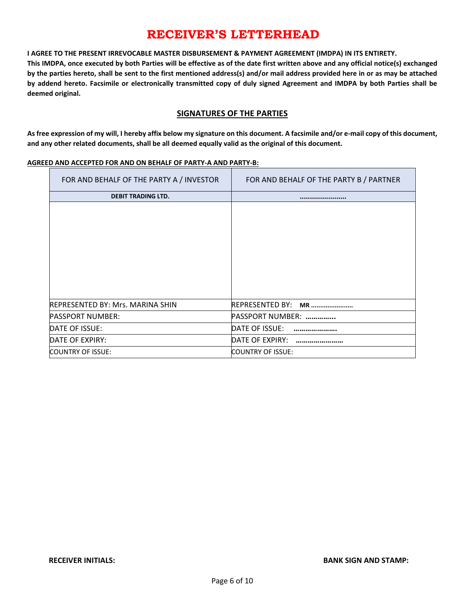**I AGREE TO THE PRESENT IRREVOCABLE MASTER DISBURSEMENT & PAYMENT AGREEMENT (IMDPA) IN ITS ENTIRETY.**

**This IMDPA, once executed by both Parties will be effective as of the date first written above and any official notice(s) exchanged by the parties hereto, shall be sent to the first mentioned address(s) and/or mail address provided here in or as may be attached by addend hereto. Facsimile or electronically transmitted copy of duly signed Agreement and IMDPA by both Parties shall be deemed original.**

#### **SIGNATURES OF THE PARTIES**

**As free expression of my will, I hereby affix below my signature on this document. A facsimile and/or e-mail copy of this document, and any other related documents, shall be all deemed equally valid as the original of this document.**

#### **AGREED AND ACCEPTED FOR AND ON BEHALF OF PARTY-A AND PARTY-B:**

| FOR AND BEHALF OF THE PARTY A / INVESTOR | FOR AND BEHALF OF THE PARTY B / PARTNER |
|------------------------------------------|-----------------------------------------|
| <b>DEBIT TRADING LTD.</b>                |                                         |
|                                          |                                         |
| REPRESENTED BY: Mrs. MARINA SHIN         | <b>REPRESENTED BY:</b><br><b>MR</b>     |
| PASSPORT NUMBER:                         | <b>PASSPORT NUMBER:</b>                 |
| DATE OF ISSUE:                           | DATE OF ISSUE:                          |
| DATE OF EXPIRY:                          | DATE OF EXPIRY:                         |
| COUNTRY OF ISSUE:                        | COUNTRY OF ISSUE:                       |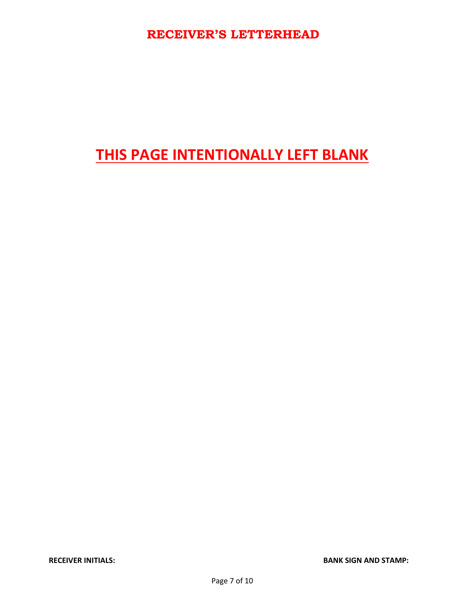# **THIS PAGE INTENTIONALLY LEFT BLANK**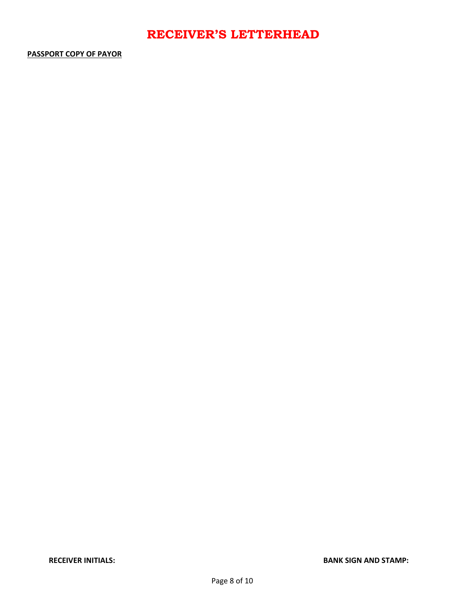#### **PASSPORT COPY OF PAYOR**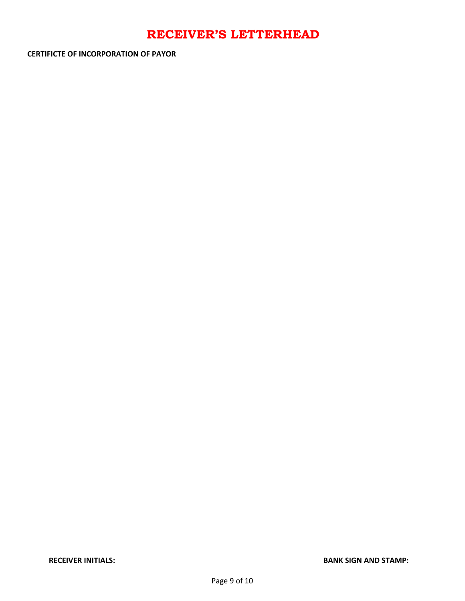**CERTIFICTE OF INCORPORATION OF PAYOR**